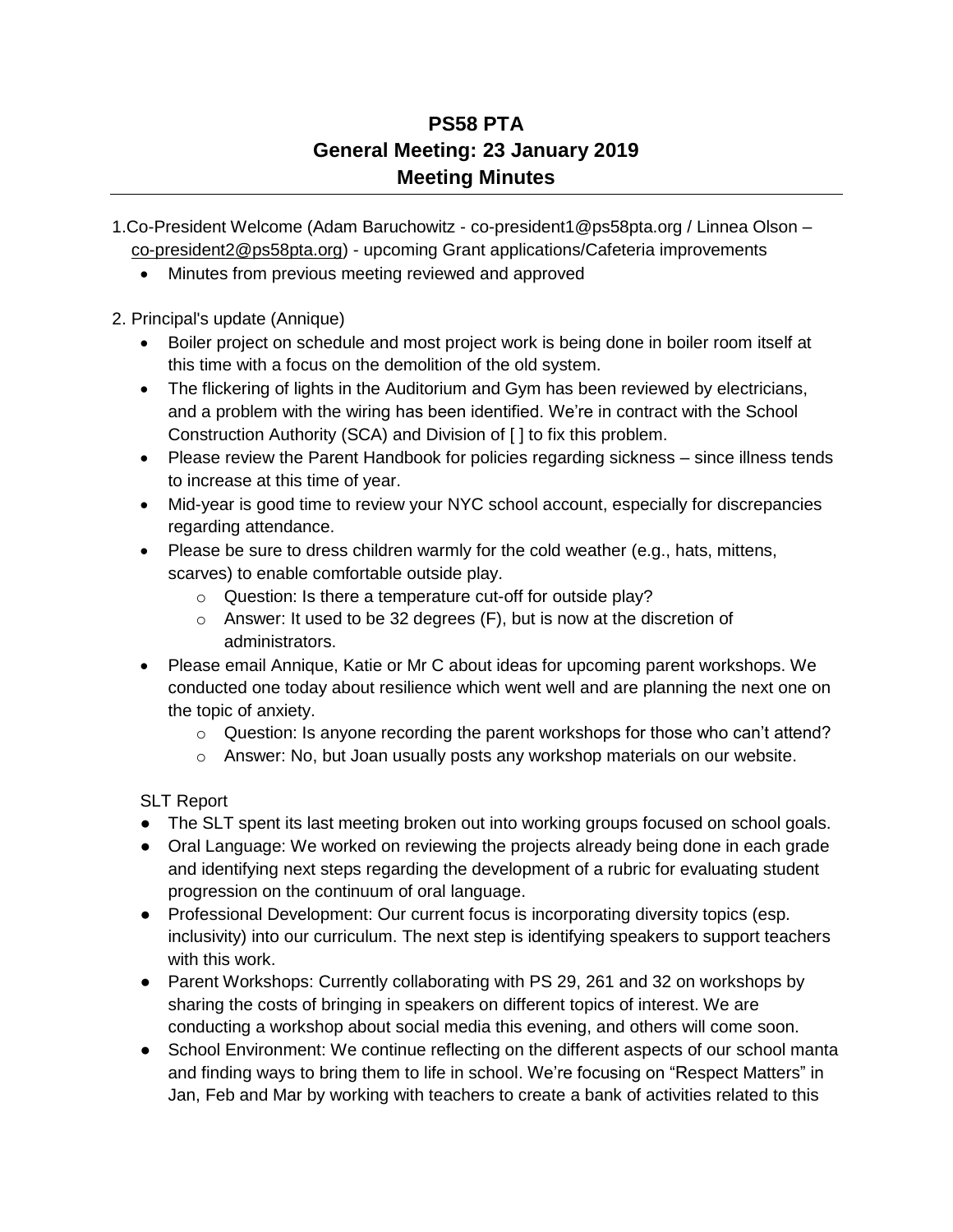## **PS58 PTA General Meeting: 23 January 2019 Meeting Minutes**

- 1.Co-President Welcome (Adam Baruchowitz co-president1@ps58pta.org / Linnea Olson [co-president2@ps58pta.org\)](mailto:co-president2@ps58pta.org) - upcoming Grant applications/Cafeteria improvements
	- Minutes from previous meeting reviewed and approved

2. Principal's update (Annique)

- Boiler project on schedule and most project work is being done in boiler room itself at this time with a focus on the demolition of the old system.
- The flickering of lights in the Auditorium and Gym has been reviewed by electricians, and a problem with the wiring has been identified. We're in contract with the School Construction Authority (SCA) and Division of [ ] to fix this problem.
- Please review the Parent Handbook for policies regarding sickness since illness tends to increase at this time of year.
- Mid-year is good time to review your NYC school account, especially for discrepancies regarding attendance.
- Please be sure to dress children warmly for the cold weather (e.g., hats, mittens, scarves) to enable comfortable outside play.
	- o Question: Is there a temperature cut-off for outside play?
	- o Answer: It used to be 32 degrees (F), but is now at the discretion of administrators.
- Please email Annique, Katie or Mr C about ideas for upcoming parent workshops. We conducted one today about resilience which went well and are planning the next one on the topic of anxiety.
	- $\circ$  Question: Is anyone recording the parent workshops for those who can't attend?
	- $\circ$  Answer: No, but Joan usually posts any workshop materials on our website.

SLT Report

- The SLT spent its last meeting broken out into working groups focused on school goals.
- Oral Language: We worked on reviewing the projects already being done in each grade and identifying next steps regarding the development of a rubric for evaluating student progression on the continuum of oral language.
- Professional Development: Our current focus is incorporating diversity topics (esp. inclusivity) into our curriculum. The next step is identifying speakers to support teachers with this work.
- Parent Workshops: Currently collaborating with PS 29, 261 and 32 on workshops by sharing the costs of bringing in speakers on different topics of interest. We are conducting a workshop about social media this evening, and others will come soon.
- School Environment: We continue reflecting on the different aspects of our school manta and finding ways to bring them to life in school. We're focusing on "Respect Matters" in Jan, Feb and Mar by working with teachers to create a bank of activities related to this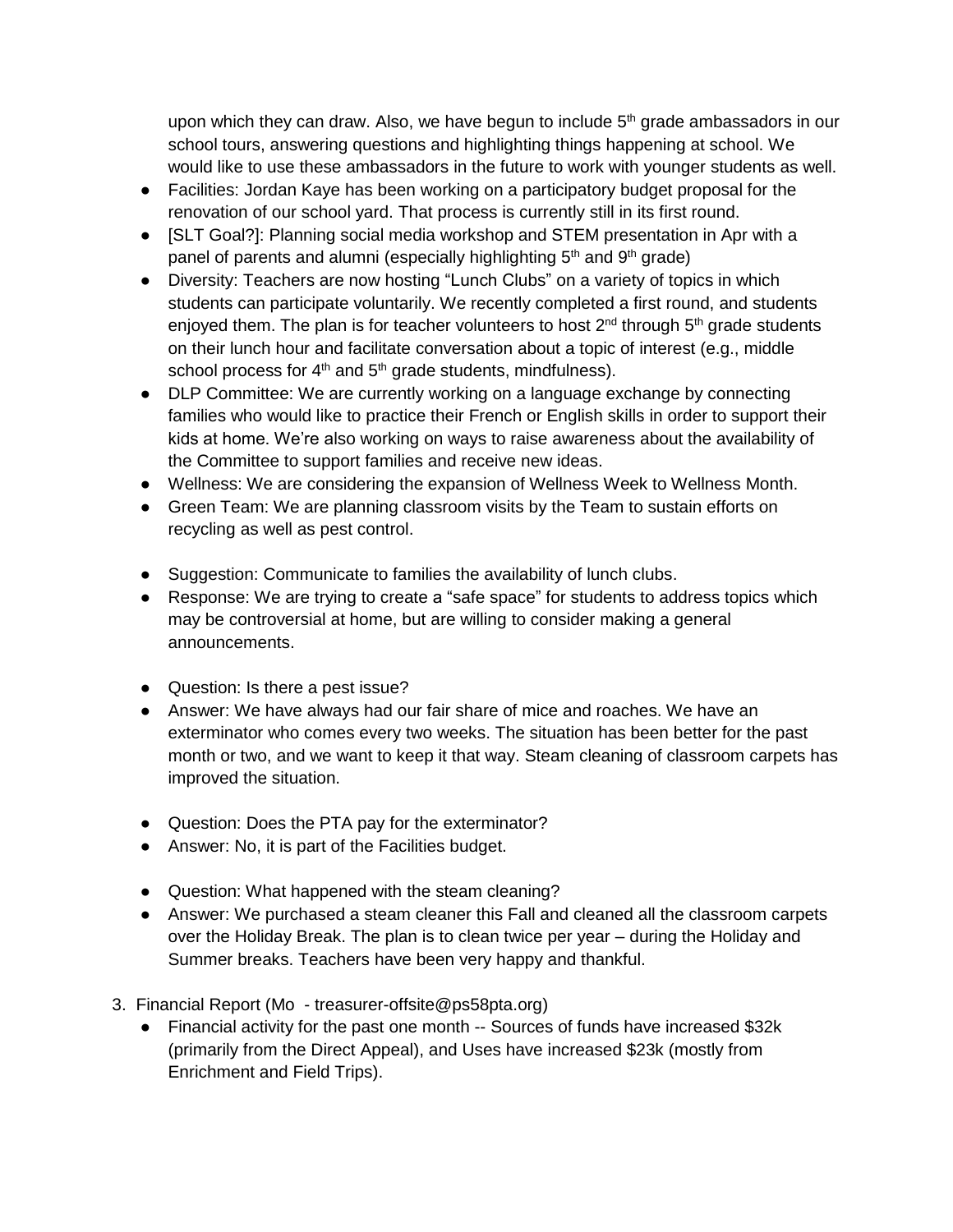upon which they can draw. Also, we have begun to include  $5<sup>th</sup>$  grade ambassadors in our school tours, answering questions and highlighting things happening at school. We would like to use these ambassadors in the future to work with younger students as well.

- Facilities: Jordan Kaye has been working on a participatory budget proposal for the renovation of our school yard. That process is currently still in its first round.
- [SLT Goal?]: Planning social media workshop and STEM presentation in Apr with a panel of parents and alumni (especially highlighting  $5<sup>th</sup>$  and  $9<sup>th</sup>$  grade)
- Diversity: Teachers are now hosting "Lunch Clubs" on a variety of topics in which students can participate voluntarily. We recently completed a first round, and students enjoyed them. The plan is for teacher volunteers to host 2<sup>nd</sup> through 5<sup>th</sup> grade students on their lunch hour and facilitate conversation about a topic of interest (e.g., middle school process for  $4<sup>th</sup>$  and  $5<sup>th</sup>$  grade students, mindfulness).
- DLP Committee: We are currently working on a language exchange by connecting families who would like to practice their French or English skills in order to support their kids at home. We're also working on ways to raise awareness about the availability of the Committee to support families and receive new ideas.
- Wellness: We are considering the expansion of Wellness Week to Wellness Month.
- Green Team: We are planning classroom visits by the Team to sustain efforts on recycling as well as pest control.
- Suggestion: Communicate to families the availability of lunch clubs.
- Response: We are trying to create a "safe space" for students to address topics which may be controversial at home, but are willing to consider making a general announcements.
- Question: Is there a pest issue?
- Answer: We have always had our fair share of mice and roaches. We have an exterminator who comes every two weeks. The situation has been better for the past month or two, and we want to keep it that way. Steam cleaning of classroom carpets has improved the situation.
- Question: Does the PTA pay for the exterminator?
- Answer: No, it is part of the Facilities budget.
- Question: What happened with the steam cleaning?
- Answer: We purchased a steam cleaner this Fall and cleaned all the classroom carpets over the Holiday Break. The plan is to clean twice per year – during the Holiday and Summer breaks. Teachers have been very happy and thankful.
- 3. Financial Report (Mo treasurer-offsite@ps58pta.org)
	- Financial activity for the past one month -- Sources of funds have increased \$32k (primarily from the Direct Appeal), and Uses have increased \$23k (mostly from Enrichment and Field Trips).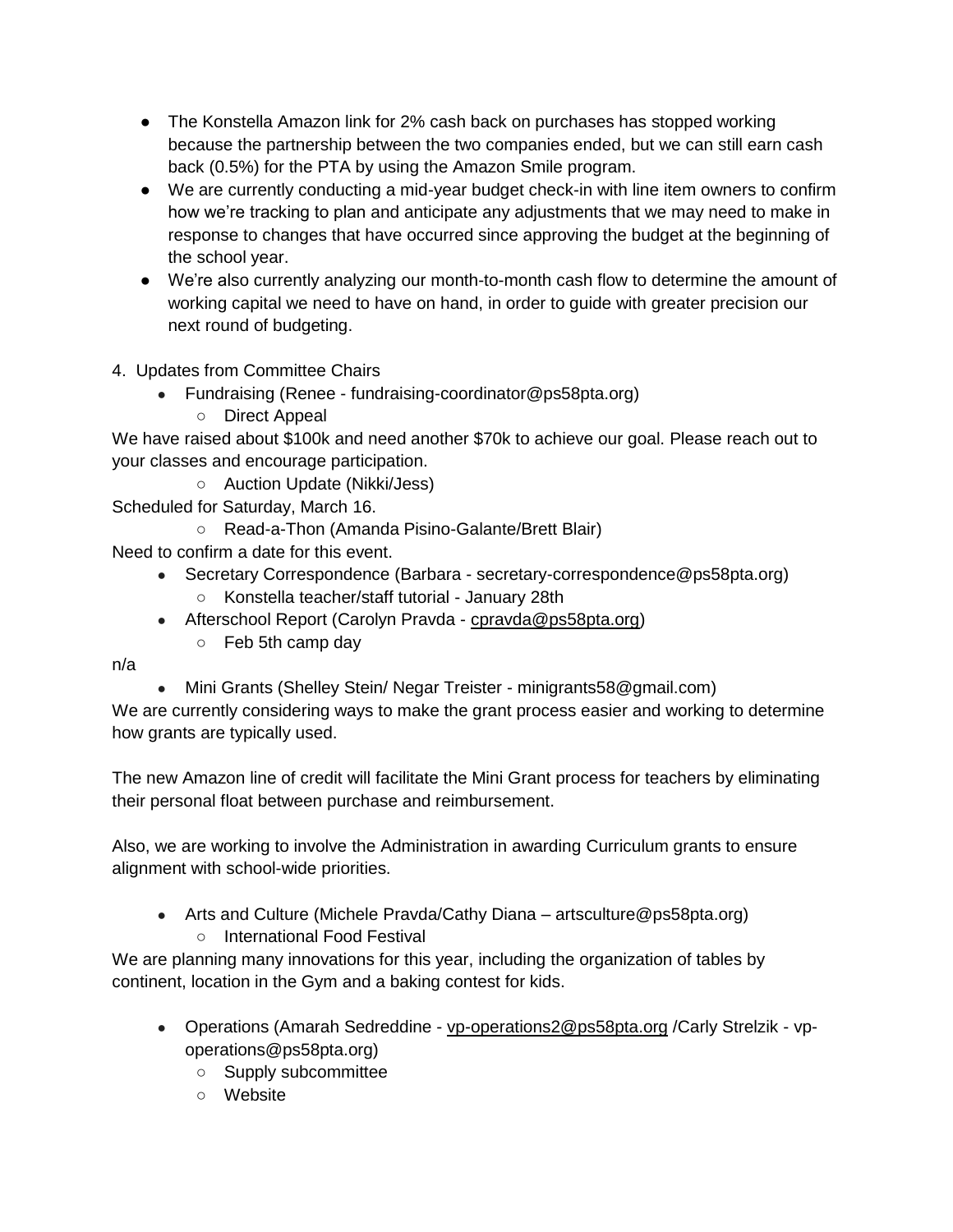- The Konstella Amazon link for 2% cash back on purchases has stopped working because the partnership between the two companies ended, but we can still earn cash back (0.5%) for the PTA by using the Amazon Smile program.
- We are currently conducting a mid-year budget check-in with line item owners to confirm how we're tracking to plan and anticipate any adjustments that we may need to make in response to changes that have occurred since approving the budget at the beginning of the school year.
- We're also currently analyzing our month-to-month cash flow to determine the amount of working capital we need to have on hand, in order to guide with greater precision our next round of budgeting.
- 4. Updates from Committee Chairs
	- Fundraising (Renee fundraising-coordinator@ps58pta.org)
		- Direct Appeal

We have raised about \$100k and need another \$70k to achieve our goal. Please reach out to your classes and encourage participation.

○ Auction Update (Nikki/Jess)

- Scheduled for Saturday, March 16.
	- Read-a-Thon (Amanda Pisino-Galante/Brett Blair)

Need to confirm a date for this event.

- Secretary Correspondence (Barbara secretary-correspondence@ps58pta.org)
	- Konstella teacher/staff tutorial January 28th
- Afterschool Report (Carolyn Pravda [cpravda@ps58pta.org\)](mailto:cpravda@ps58pta.org)
	- Feb 5th camp day

n/a

• Mini Grants (Shelley Stein/ Negar Treister - minigrants58@gmail.com)

We are currently considering ways to make the grant process easier and working to determine how grants are typically used.

The new Amazon line of credit will facilitate the Mini Grant process for teachers by eliminating their personal float between purchase and reimbursement.

Also, we are working to involve the Administration in awarding Curriculum grants to ensure alignment with school-wide priorities.

- Arts and Culture (Michele Pravda/Cathy Diana artsculture@ps58pta.org)
	- International Food Festival

We are planning many innovations for this year, including the organization of tables by continent, location in the Gym and a baking contest for kids.

- Operations (Amarah Sedreddine [vp-operations2@ps58pta.org](mailto:vp-operations2@ps58pta.org) /Carly Strelzik vpoperations@ps58pta.org)
	- Supply subcommittee
	- Website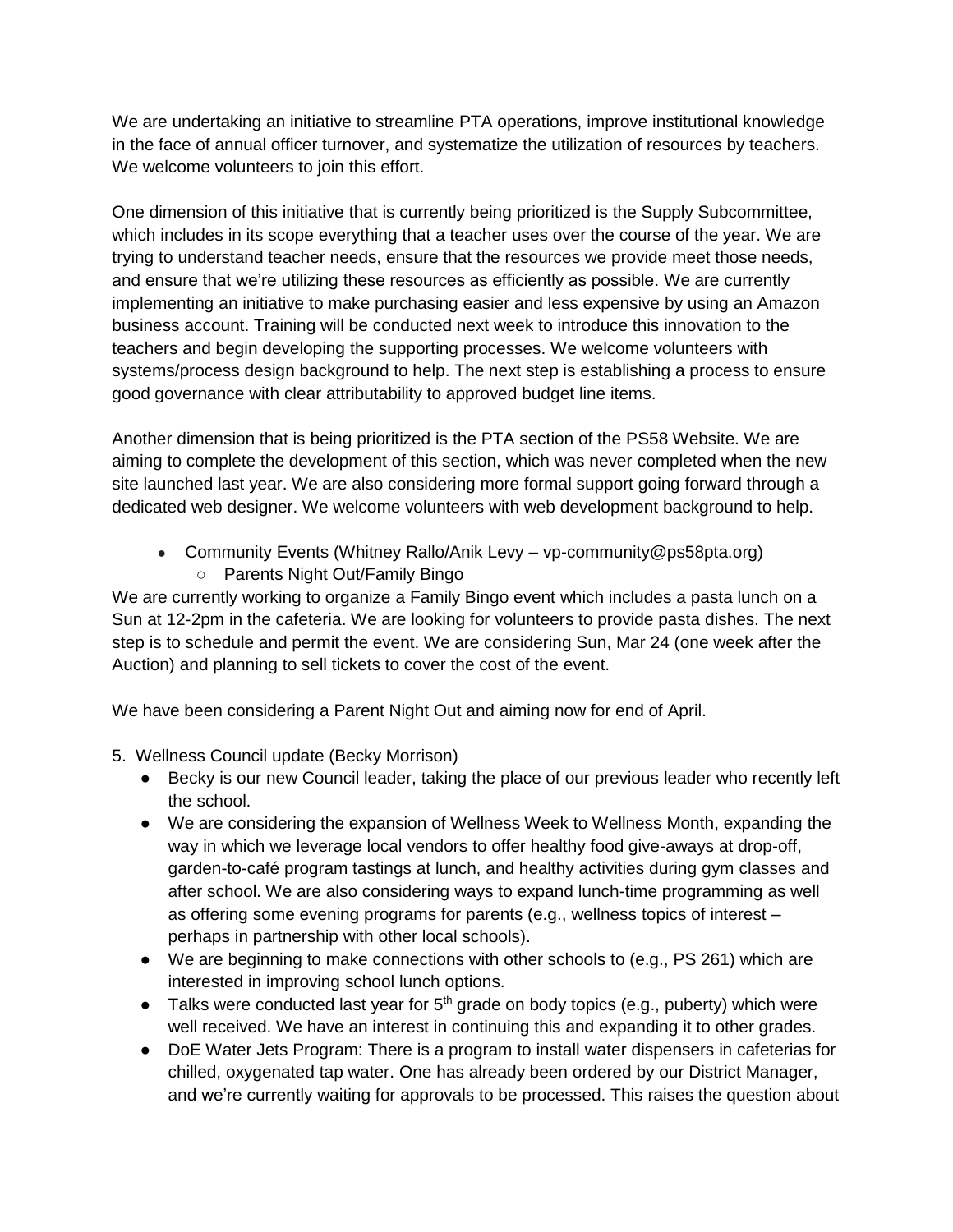We are undertaking an initiative to streamline PTA operations, improve institutional knowledge in the face of annual officer turnover, and systematize the utilization of resources by teachers. We welcome volunteers to join this effort.

One dimension of this initiative that is currently being prioritized is the Supply Subcommittee, which includes in its scope everything that a teacher uses over the course of the year. We are trying to understand teacher needs, ensure that the resources we provide meet those needs, and ensure that we're utilizing these resources as efficiently as possible. We are currently implementing an initiative to make purchasing easier and less expensive by using an Amazon business account. Training will be conducted next week to introduce this innovation to the teachers and begin developing the supporting processes. We welcome volunteers with systems/process design background to help. The next step is establishing a process to ensure good governance with clear attributability to approved budget line items.

Another dimension that is being prioritized is the PTA section of the PS58 Website. We are aiming to complete the development of this section, which was never completed when the new site launched last year. We are also considering more formal support going forward through a dedicated web designer. We welcome volunteers with web development background to help.

- Community Events (Whitney Rallo/Anik Levy vp-community@ps58pta.org)
	- Parents Night Out/Family Bingo

We are currently working to organize a Family Bingo event which includes a pasta lunch on a Sun at 12-2pm in the cafeteria. We are looking for volunteers to provide pasta dishes. The next step is to schedule and permit the event. We are considering Sun, Mar 24 (one week after the Auction) and planning to sell tickets to cover the cost of the event.

We have been considering a Parent Night Out and aiming now for end of April.

- 5. Wellness Council update (Becky Morrison)
	- Becky is our new Council leader, taking the place of our previous leader who recently left the school.
	- We are considering the expansion of Wellness Week to Wellness Month, expanding the way in which we leverage local vendors to offer healthy food give-aways at drop-off, garden-to-café program tastings at lunch, and healthy activities during gym classes and after school. We are also considering ways to expand lunch-time programming as well as offering some evening programs for parents (e.g., wellness topics of interest – perhaps in partnership with other local schools).
	- We are beginning to make connections with other schools to (e.g., PS 261) which are interested in improving school lunch options.
	- Talks were conducted last year for  $5<sup>th</sup>$  grade on body topics (e.g., puberty) which were well received. We have an interest in continuing this and expanding it to other grades.
	- DoE Water Jets Program: There is a program to install water dispensers in cafeterias for chilled, oxygenated tap water. One has already been ordered by our District Manager, and we're currently waiting for approvals to be processed. This raises the question about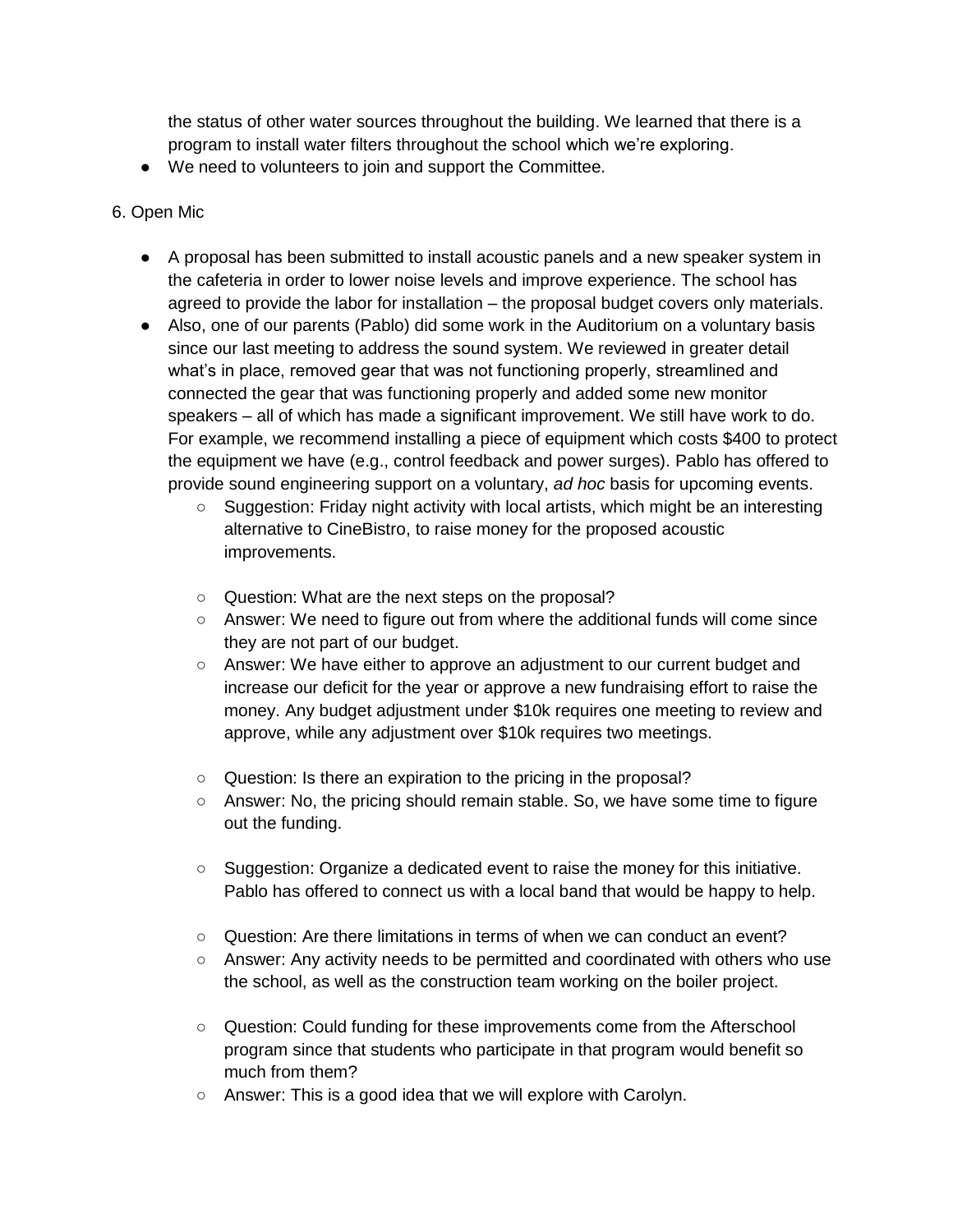the status of other water sources throughout the building. We learned that there is a program to install water filters throughout the school which we're exploring.

● We need to volunteers to join and support the Committee.

## 6. Open Mic

- A proposal has been submitted to install acoustic panels and a new speaker system in the cafeteria in order to lower noise levels and improve experience. The school has agreed to provide the labor for installation – the proposal budget covers only materials.
- Also, one of our parents (Pablo) did some work in the Auditorium on a voluntary basis since our last meeting to address the sound system. We reviewed in greater detail what's in place, removed gear that was not functioning properly, streamlined and connected the gear that was functioning properly and added some new monitor speakers – all of which has made a significant improvement. We still have work to do. For example, we recommend installing a piece of equipment which costs \$400 to protect the equipment we have (e.g., control feedback and power surges). Pablo has offered to provide sound engineering support on a voluntary, *ad hoc* basis for upcoming events.
	- $\circ$  Suggestion: Friday night activity with local artists, which might be an interesting alternative to CineBistro, to raise money for the proposed acoustic improvements.
	- Question: What are the next steps on the proposal?
	- Answer: We need to figure out from where the additional funds will come since they are not part of our budget.
	- Answer: We have either to approve an adjustment to our current budget and increase our deficit for the year or approve a new fundraising effort to raise the money. Any budget adjustment under \$10k requires one meeting to review and approve, while any adjustment over \$10k requires two meetings.
	- Question: Is there an expiration to the pricing in the proposal?
	- Answer: No, the pricing should remain stable. So, we have some time to figure out the funding.
	- Suggestion: Organize a dedicated event to raise the money for this initiative. Pablo has offered to connect us with a local band that would be happy to help.
	- Question: Are there limitations in terms of when we can conduct an event?
	- Answer: Any activity needs to be permitted and coordinated with others who use the school, as well as the construction team working on the boiler project.
	- Question: Could funding for these improvements come from the Afterschool program since that students who participate in that program would benefit so much from them?
	- Answer: This is a good idea that we will explore with Carolyn.